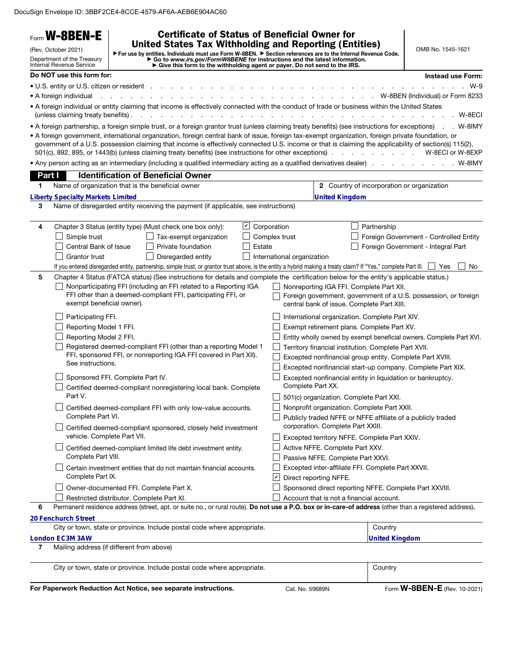DocuSign Envelope ID: 3BBF2CE4-8CCE-4579-AF6A-AEB6E904AC60

| Form   | <b>W-8BEN-E</b>                                        | <b>Certificate of Status of Beneficial Owner for</b>                                                                                                                                                                                                                                                                                                                                                                   |                                                                                                                                                                                                                                                                       |                                                                                        |                       |                       |                                                                     |
|--------|--------------------------------------------------------|------------------------------------------------------------------------------------------------------------------------------------------------------------------------------------------------------------------------------------------------------------------------------------------------------------------------------------------------------------------------------------------------------------------------|-----------------------------------------------------------------------------------------------------------------------------------------------------------------------------------------------------------------------------------------------------------------------|----------------------------------------------------------------------------------------|-----------------------|-----------------------|---------------------------------------------------------------------|
|        | (Rev. October 2021)                                    | <b>United States Tax Withholding and Reporting (Entities)</b>                                                                                                                                                                                                                                                                                                                                                          |                                                                                                                                                                                                                                                                       |                                                                                        |                       |                       | OMB No. 1545-1621                                                   |
|        | Department of the Treasury<br>Internal Revenue Service |                                                                                                                                                                                                                                                                                                                                                                                                                        | For use by entities. Individuals must use Form W-8BEN. Fection references are to the Internal Revenue Code.<br>Go to www.irs.gov/FormW8BENE for instructions and the latest information.<br>Give this form to the withholding agent or payer. Do not send to the IRS. |                                                                                        |                       |                       |                                                                     |
|        | Do NOT use this form for:                              |                                                                                                                                                                                                                                                                                                                                                                                                                        |                                                                                                                                                                                                                                                                       |                                                                                        |                       |                       | <b>Instead use Form:</b>                                            |
|        | • U.S. entity or U.S. citizen or resident.             |                                                                                                                                                                                                                                                                                                                                                                                                                        |                                                                                                                                                                                                                                                                       |                                                                                        |                       |                       | $W-9$                                                               |
|        | • A foreign individual                                 |                                                                                                                                                                                                                                                                                                                                                                                                                        |                                                                                                                                                                                                                                                                       |                                                                                        |                       |                       | W-8BEN (Individual) or Form 8233                                    |
|        | (unless claiming treaty benefits).                     | . A foreign individual or entity claiming that income is effectively connected with the conduct of trade or business within the United States<br>$\sim$<br>$\sim$ $\sim$ $\sim$ $\sim$                                                                                                                                                                                                                                 |                                                                                                                                                                                                                                                                       |                                                                                        |                       |                       | W-8ECI                                                              |
|        |                                                        | • A foreign partnership, a foreign simple trust, or a foreign grantor trust (unless claiming treaty benefits) (see instructions for exceptions).                                                                                                                                                                                                                                                                       |                                                                                                                                                                                                                                                                       |                                                                                        |                       |                       | . W-8IMY                                                            |
|        |                                                        | • A foreign government, international organization, foreign central bank of issue, foreign tax-exempt organization, foreign private foundation, or<br>government of a U.S. possession claiming that income is effectively connected U.S. income or that is claiming the applicability of section(s) 115(2),<br>501(c), 892, 895, or 1443(b) (unless claiming treaty benefits) (see instructions for other exceptions). |                                                                                                                                                                                                                                                                       |                                                                                        |                       |                       | W-8ECI or W-8EXP                                                    |
|        |                                                        |                                                                                                                                                                                                                                                                                                                                                                                                                        |                                                                                                                                                                                                                                                                       |                                                                                        |                       |                       | . W-8IMY                                                            |
| Part I |                                                        | <b>Identification of Beneficial Owner</b>                                                                                                                                                                                                                                                                                                                                                                              |                                                                                                                                                                                                                                                                       |                                                                                        |                       |                       |                                                                     |
| 1      |                                                        | Name of organization that is the beneficial owner                                                                                                                                                                                                                                                                                                                                                                      |                                                                                                                                                                                                                                                                       |                                                                                        |                       |                       | 2 Country of incorporation or organization                          |
|        | <b>Liberty Specialty Markets Limited</b>               |                                                                                                                                                                                                                                                                                                                                                                                                                        |                                                                                                                                                                                                                                                                       |                                                                                        | <b>United Kingdom</b> |                       |                                                                     |
| 3      |                                                        | Name of disregarded entity receiving the payment (if applicable, see instructions)                                                                                                                                                                                                                                                                                                                                     |                                                                                                                                                                                                                                                                       |                                                                                        |                       |                       |                                                                     |
|        |                                                        |                                                                                                                                                                                                                                                                                                                                                                                                                        | $\cup$ Corporation                                                                                                                                                                                                                                                    |                                                                                        |                       |                       |                                                                     |
| 4      | Simple trust                                           | Chapter 3 Status (entity type) (Must check one box only):<br>Tax-exempt organization                                                                                                                                                                                                                                                                                                                                   |                                                                                                                                                                                                                                                                       | Complex trust                                                                          |                       | Partnership           | Foreign Government - Controlled Entity                              |
|        | Central Bank of Issue                                  | Private foundation                                                                                                                                                                                                                                                                                                                                                                                                     | Estate                                                                                                                                                                                                                                                                |                                                                                        |                       |                       | Foreign Government - Integral Part                                  |
|        | <b>Grantor trust</b>                                   | Disregarded entity                                                                                                                                                                                                                                                                                                                                                                                                     |                                                                                                                                                                                                                                                                       | International organization                                                             |                       |                       |                                                                     |
|        |                                                        | If you entered disregarded entity, partnership, simple trust, or grantor trust above, is the entity a hybrid making a treaty claim? If "Yes," complete Part III.   Yes                                                                                                                                                                                                                                                 |                                                                                                                                                                                                                                                                       |                                                                                        |                       |                       | No.                                                                 |
| 5      |                                                        | Chapter 4 Status (FATCA status) (See instructions for details and complete the certification below for the entity's applicable status.)                                                                                                                                                                                                                                                                                |                                                                                                                                                                                                                                                                       |                                                                                        |                       |                       |                                                                     |
|        | exempt beneficial owner).                              | Nonparticipating FFI (including an FFI related to a Reporting IGA<br>FFI other than a deemed-compliant FFI, participating FFI, or                                                                                                                                                                                                                                                                                      |                                                                                                                                                                                                                                                                       | Nonreporting IGA FFI. Complete Part XII.<br>central bank of issue. Complete Part XIII. |                       |                       | Foreign government, government of a U.S. possession, or foreign     |
|        | Participating FFI.                                     |                                                                                                                                                                                                                                                                                                                                                                                                                        |                                                                                                                                                                                                                                                                       | International organization. Complete Part XIV.                                         |                       |                       |                                                                     |
|        | Reporting Model 1 FFI.                                 |                                                                                                                                                                                                                                                                                                                                                                                                                        |                                                                                                                                                                                                                                                                       | Exempt retirement plans. Complete Part XV.                                             |                       |                       |                                                                     |
|        | Reporting Model 2 FFI.                                 |                                                                                                                                                                                                                                                                                                                                                                                                                        |                                                                                                                                                                                                                                                                       |                                                                                        |                       |                       | Entity wholly owned by exempt beneficial owners. Complete Part XVI. |
|        |                                                        | Registered deemed-compliant FFI (other than a reporting Model 1                                                                                                                                                                                                                                                                                                                                                        |                                                                                                                                                                                                                                                                       | Territory financial institution. Complete Part XVII.                                   |                       |                       |                                                                     |
|        |                                                        | FFI, sponsored FFI, or nonreporting IGA FFI covered in Part XII).                                                                                                                                                                                                                                                                                                                                                      |                                                                                                                                                                                                                                                                       | Excepted nonfinancial group entity. Complete Part XVIII.                               |                       |                       |                                                                     |
|        | See instructions.                                      |                                                                                                                                                                                                                                                                                                                                                                                                                        |                                                                                                                                                                                                                                                                       |                                                                                        |                       |                       | Excepted nonfinancial start-up company. Complete Part XIX.          |
|        |                                                        | Sponsored FFI. Complete Part IV.                                                                                                                                                                                                                                                                                                                                                                                       |                                                                                                                                                                                                                                                                       |                                                                                        |                       |                       | Excepted nonfinancial entity in liquidation or bankruptcy.          |
|        | Part V.                                                | Certified deemed-compliant nonregistering local bank. Complete                                                                                                                                                                                                                                                                                                                                                         |                                                                                                                                                                                                                                                                       | Complete Part XX.<br>501(c) organization. Complete Part XXI.                           |                       |                       |                                                                     |
|        |                                                        | Certified deemed-compliant FFI with only low-value accounts.                                                                                                                                                                                                                                                                                                                                                           |                                                                                                                                                                                                                                                                       | Nonprofit organization. Complete Part XXII.                                            |                       |                       |                                                                     |
|        | Complete Part VI.                                      |                                                                                                                                                                                                                                                                                                                                                                                                                        |                                                                                                                                                                                                                                                                       | corporation. Complete Part XXIII.                                                      |                       |                       | Publicly traded NFFE or NFFE affiliate of a publicly traded         |
|        | vehicle. Complete Part VII.                            | Certified deemed-compliant sponsored, closely held investment                                                                                                                                                                                                                                                                                                                                                          |                                                                                                                                                                                                                                                                       | Excepted territory NFFE. Complete Part XXIV.                                           |                       |                       |                                                                     |
|        |                                                        |                                                                                                                                                                                                                                                                                                                                                                                                                        |                                                                                                                                                                                                                                                                       | Active NFFE. Complete Part XXV.                                                        |                       |                       |                                                                     |
|        | Complete Part VIII.                                    | Certified deemed-compliant limited life debt investment entity.                                                                                                                                                                                                                                                                                                                                                        |                                                                                                                                                                                                                                                                       | Passive NFFE. Complete Part XXVI.                                                      |                       |                       |                                                                     |
|        |                                                        | Certain investment entities that do not maintain financial accounts.                                                                                                                                                                                                                                                                                                                                                   |                                                                                                                                                                                                                                                                       | Excepted inter-affiliate FFI. Complete Part XXVII.                                     |                       |                       |                                                                     |
|        | Complete Part IX.                                      |                                                                                                                                                                                                                                                                                                                                                                                                                        |                                                                                                                                                                                                                                                                       | $\mathbf{v}$<br>Direct reporting NFFE.                                                 |                       |                       |                                                                     |
|        |                                                        | Owner-documented FFI. Complete Part X.                                                                                                                                                                                                                                                                                                                                                                                 |                                                                                                                                                                                                                                                                       | Sponsored direct reporting NFFE. Complete Part XXVIII.                                 |                       |                       |                                                                     |
|        |                                                        | Restricted distributor. Complete Part XI.                                                                                                                                                                                                                                                                                                                                                                              |                                                                                                                                                                                                                                                                       | Account that is not a financial account.                                               |                       |                       |                                                                     |
| 6      |                                                        | Permanent residence address (street, apt. or suite no., or rural route). Do not use a P.O. box or in-care-of address (other than a registered address).                                                                                                                                                                                                                                                                |                                                                                                                                                                                                                                                                       |                                                                                        |                       |                       |                                                                     |
|        | <b>20 Fenchurch Street</b>                             |                                                                                                                                                                                                                                                                                                                                                                                                                        |                                                                                                                                                                                                                                                                       |                                                                                        |                       |                       |                                                                     |
|        |                                                        | City or town, state or province. Include postal code where appropriate.                                                                                                                                                                                                                                                                                                                                                |                                                                                                                                                                                                                                                                       |                                                                                        |                       | Country               |                                                                     |
|        | London EC3M 3AW                                        |                                                                                                                                                                                                                                                                                                                                                                                                                        |                                                                                                                                                                                                                                                                       |                                                                                        |                       | <b>United Kingdom</b> |                                                                     |
| 7      |                                                        | Mailing address (if different from above)                                                                                                                                                                                                                                                                                                                                                                              |                                                                                                                                                                                                                                                                       |                                                                                        |                       |                       |                                                                     |
|        |                                                        | City or town, state or province. Include postal code where appropriate.                                                                                                                                                                                                                                                                                                                                                |                                                                                                                                                                                                                                                                       |                                                                                        |                       | Country               |                                                                     |
|        |                                                        |                                                                                                                                                                                                                                                                                                                                                                                                                        |                                                                                                                                                                                                                                                                       |                                                                                        |                       |                       |                                                                     |
|        |                                                        | For Paperwork Reduction Act Notice, see separate instructions.                                                                                                                                                                                                                                                                                                                                                         |                                                                                                                                                                                                                                                                       | Cat. No. 59689N                                                                        |                       |                       | Form <b>W-8BEN-E</b> (Rev. 10-2021)                                 |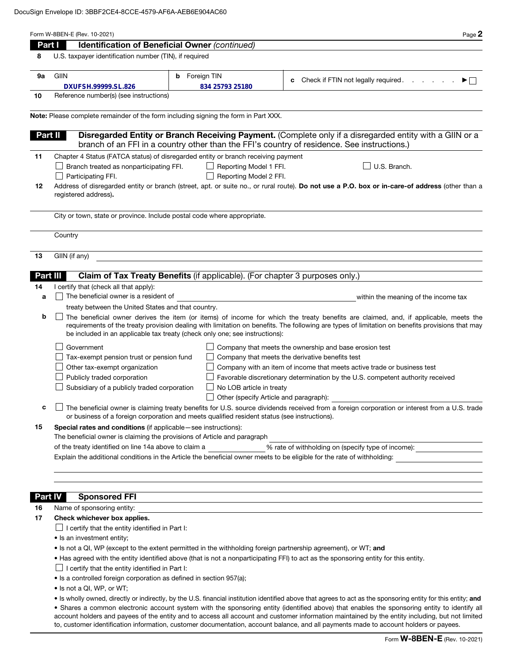|    | Form W-8BEN-E (Rev. 10-2021)<br>Page 2<br>Identification of Beneficial Owner (continued)<br>Part I                                                                                                                                                                                                                                                                                                                                       |  |  |  |  |  |
|----|------------------------------------------------------------------------------------------------------------------------------------------------------------------------------------------------------------------------------------------------------------------------------------------------------------------------------------------------------------------------------------------------------------------------------------------|--|--|--|--|--|
| 8  | U.S. taxpayer identification number (TIN), if required                                                                                                                                                                                                                                                                                                                                                                                   |  |  |  |  |  |
|    |                                                                                                                                                                                                                                                                                                                                                                                                                                          |  |  |  |  |  |
| 9а | Foreign TIN<br>GIIN<br>b<br>Check if FTIN not legally required.<br>$\mathbf{r}$ and $\mathbf{r}$ and $\mathbf{r}$<br>▶□<br>c                                                                                                                                                                                                                                                                                                             |  |  |  |  |  |
|    | DXUFSH.99999.SL.826<br>834 25793 25180                                                                                                                                                                                                                                                                                                                                                                                                   |  |  |  |  |  |
| 10 | Reference number(s) (see instructions)                                                                                                                                                                                                                                                                                                                                                                                                   |  |  |  |  |  |
|    | Note: Please complete remainder of the form including signing the form in Part XXX.                                                                                                                                                                                                                                                                                                                                                      |  |  |  |  |  |
|    |                                                                                                                                                                                                                                                                                                                                                                                                                                          |  |  |  |  |  |
|    | Disregarded Entity or Branch Receiving Payment. (Complete only if a disregarded entity with a GIIN or a<br>Part II<br>branch of an FFI in a country other than the FFI's country of residence. See instructions.)                                                                                                                                                                                                                        |  |  |  |  |  |
| 11 | Chapter 4 Status (FATCA status) of disregarded entity or branch receiving payment                                                                                                                                                                                                                                                                                                                                                        |  |  |  |  |  |
|    | Branch treated as nonparticipating FFI.<br>Reporting Model 1 FFI.<br>U.S. Branch.                                                                                                                                                                                                                                                                                                                                                        |  |  |  |  |  |
| 12 | Reporting Model 2 FFI.<br>Participating FFI.<br>Address of disregarded entity or branch (street, apt. or suite no., or rural route). Do not use a P.O. box or in-care-of address (other than a                                                                                                                                                                                                                                           |  |  |  |  |  |
|    | registered address).                                                                                                                                                                                                                                                                                                                                                                                                                     |  |  |  |  |  |
|    | City or town, state or province. Include postal code where appropriate.                                                                                                                                                                                                                                                                                                                                                                  |  |  |  |  |  |
|    | Country                                                                                                                                                                                                                                                                                                                                                                                                                                  |  |  |  |  |  |
| 13 | GIIN (if any)                                                                                                                                                                                                                                                                                                                                                                                                                            |  |  |  |  |  |
|    | Claim of Tax Treaty Benefits (if applicable). (For chapter 3 purposes only.)<br>Part III                                                                                                                                                                                                                                                                                                                                                 |  |  |  |  |  |
| 14 | I certify that (check all that apply):                                                                                                                                                                                                                                                                                                                                                                                                   |  |  |  |  |  |
| a  | The beneficial owner is a resident of<br>within the meaning of the income tax                                                                                                                                                                                                                                                                                                                                                            |  |  |  |  |  |
|    | treaty between the United States and that country.                                                                                                                                                                                                                                                                                                                                                                                       |  |  |  |  |  |
| b  | The beneficial owner derives the item (or items) of income for which the treaty benefits are claimed, and, if applicable, meets the<br>requirements of the treaty provision dealing with limitation on benefits. The following are types of limitation on benefits provisions that may<br>be included in an applicable tax treaty (check only one; see instructions):                                                                    |  |  |  |  |  |
|    | Government<br>Company that meets the ownership and base erosion test                                                                                                                                                                                                                                                                                                                                                                     |  |  |  |  |  |
|    | Company that meets the derivative benefits test<br>Tax-exempt pension trust or pension fund                                                                                                                                                                                                                                                                                                                                              |  |  |  |  |  |
|    | Other tax-exempt organization<br>Company with an item of income that meets active trade or business test                                                                                                                                                                                                                                                                                                                                 |  |  |  |  |  |
|    | Publicly traded corporation<br>Favorable discretionary determination by the U.S. competent authority received                                                                                                                                                                                                                                                                                                                            |  |  |  |  |  |
|    | Subsidiary of a publicly traded corporation<br>No LOB article in treaty<br>Other (specify Article and paragraph):                                                                                                                                                                                                                                                                                                                        |  |  |  |  |  |
| c  | $\Box$ The beneficial owner is claiming treaty benefits for U.S. source dividends received from a foreign corporation or interest from a U.S. trade                                                                                                                                                                                                                                                                                      |  |  |  |  |  |
| 15 | or business of a foreign corporation and meets qualified resident status (see instructions).                                                                                                                                                                                                                                                                                                                                             |  |  |  |  |  |
|    | Special rates and conditions (if applicable – see instructions):<br>The beneficial owner is claiming the provisions of Article and paragraph                                                                                                                                                                                                                                                                                             |  |  |  |  |  |
|    | % rate of withholding on (specify type of income):<br>of the treaty identified on line 14a above to claim a                                                                                                                                                                                                                                                                                                                              |  |  |  |  |  |
|    | Explain the additional conditions in the Article the beneficial owner meets to be eligible for the rate of withholding:                                                                                                                                                                                                                                                                                                                  |  |  |  |  |  |
|    |                                                                                                                                                                                                                                                                                                                                                                                                                                          |  |  |  |  |  |
|    |                                                                                                                                                                                                                                                                                                                                                                                                                                          |  |  |  |  |  |
|    | <b>Sponsored FFI</b><br><b>Part IV</b><br><u> 1989 - Johann Stoff, amerikansk politiker (d. 1989)</u>                                                                                                                                                                                                                                                                                                                                    |  |  |  |  |  |
| 16 | Name of sponsoring entity:                                                                                                                                                                                                                                                                                                                                                                                                               |  |  |  |  |  |
| 17 | Check whichever box applies.                                                                                                                                                                                                                                                                                                                                                                                                             |  |  |  |  |  |
|    | $\Box$ I certify that the entity identified in Part I:                                                                                                                                                                                                                                                                                                                                                                                   |  |  |  |  |  |
|    | • Is an investment entity;                                                                                                                                                                                                                                                                                                                                                                                                               |  |  |  |  |  |
|    | • Is not a QI, WP (except to the extent permitted in the withholding foreign partnership agreement), or WT; and                                                                                                                                                                                                                                                                                                                          |  |  |  |  |  |
|    | • Has agreed with the entity identified above (that is not a nonparticipating FFI) to act as the sponsoring entity for this entity.                                                                                                                                                                                                                                                                                                      |  |  |  |  |  |
|    | $\Box$ I certify that the entity identified in Part I:                                                                                                                                                                                                                                                                                                                                                                                   |  |  |  |  |  |
|    | • Is a controlled foreign corporation as defined in section 957(a);<br>• Is not a QI, WP, or WT;                                                                                                                                                                                                                                                                                                                                         |  |  |  |  |  |
|    | • Is wholly owned, directly or indirectly, by the U.S. financial institution identified above that agrees to act as the sponsoring entity for this entity; and                                                                                                                                                                                                                                                                           |  |  |  |  |  |
|    | • Shares a common electronic account system with the sponsoring entity (identified above) that enables the sponsoring entity to identify all<br>account holders and payees of the entity and to access all account and customer information maintained by the entity including, but not limited<br>to, customer identification information, customer documentation, account balance, and all payments made to account holders or payees. |  |  |  |  |  |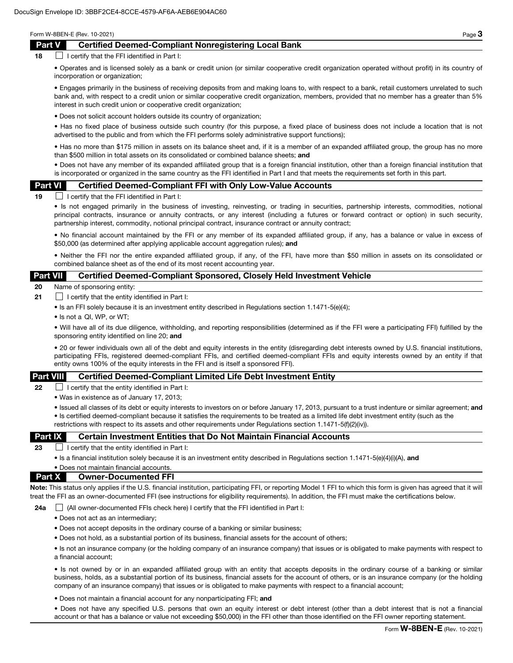## Part V Certified Deemed-Compliant Nonregistering Local Bank

 $18$  I certify that the FFI identified in Part I:

• Operates and is licensed solely as a bank or credit union (or similar cooperative credit organization operated without profit) in its country of incorporation or organization;

• Engages primarily in the business of receiving deposits from and making loans to, with respect to a bank, retail customers unrelated to such bank and, with respect to a credit union or similar cooperative credit organization, members, provided that no member has a greater than 5% interest in such credit union or cooperative credit organization;

• Does not solicit account holders outside its country of organization;

• Has no fixed place of business outside such country (for this purpose, a fixed place of business does not include a location that is not advertised to the public and from which the FFI performs solely administrative support functions);

• Has no more than \$175 million in assets on its balance sheet and, if it is a member of an expanded affiliated group, the group has no more than \$500 million in total assets on its consolidated or combined balance sheets; and

• Does not have any member of its expanded affiliated group that is a foreign financial institution, other than a foreign financial institution that is incorporated or organized in the same country as the FFI identified in Part I and that meets the requirements set forth in this part.

#### Part VI Certified Deemed-Compliant FFI with Only Low-Value Accounts

 $19$  I certify that the FFI identified in Part I:

• Is not engaged primarily in the business of investing, reinvesting, or trading in securities, partnership interests, commodities, notional principal contracts, insurance or annuity contracts, or any interest (including a futures or forward contract or option) in such security, partnership interest, commodity, notional principal contract, insurance contract or annuity contract;

• No financial account maintained by the FFI or any member of its expanded affiliated group, if any, has a balance or value in excess of \$50,000 (as determined after applying applicable account aggregation rules); and

• Neither the FFI nor the entire expanded affiliated group, if any, of the FFI, have more than \$50 million in assets on its consolidated or combined balance sheet as of the end of its most recent accounting year.

## Part VII Certified Deemed-Compliant Sponsored, Closely Held Investment Vehicle

20 Name of sponsoring entity:

- **21**  $\Box$  I certify that the entity identified in Part I:
	- Is an FFI solely because it is an investment entity described in Regulations section 1.1471-5(e)(4);
	- Is not a QI, WP, or WT;

• Will have all of its due diligence, withholding, and reporting responsibilities (determined as if the FFI were a participating FFI) fulfilled by the sponsoring entity identified on line 20; and

• 20 or fewer individuals own all of the debt and equity interests in the entity (disregarding debt interests owned by U.S. financial institutions, participating FFIs, registered deemed-compliant FFIs, and certified deemed-compliant FFIs and equity interests owned by an entity if that entity owns 100% of the equity interests in the FFI and is itself a sponsored FFI).

#### Part VIII Certified Deemed-Compliant Limited Life Debt Investment Entity

**22**  $\Box$  I certify that the entity identified in Part I:

• Was in existence as of January 17, 2013;

• Issued all classes of its debt or equity interests to investors on or before January 17, 2013, pursuant to a trust indenture or similar agreement; and • Is certified deemed-compliant because it satisfies the requirements to be treated as a limited life debt investment entity (such as the restrictions with respect to its assets and other requirements under Regulations section 1.1471-5(f)(2)(iv)).

## **Part IX** Certain Investment Entities that Do Not Maintain Financial Accounts

23  $\Box$  I certify that the entity identified in Part I:

• Is a financial institution solely because it is an investment entity described in Regulations section 1.1471-5(e)(4)(i)(A), and

## • Does not maintain financial accounts. Part X Owner-Documented FFI

Note: This status only applies if the U.S. financial institution, participating FFI, or reporting Model 1 FFI to which this form is given has agreed that it will treat the FFI as an owner-documented FFI (see instructions for eligibility requirements). In addition, the FFI must make the certifications below.

24a  $\Box$  (All owner-documented FFIs check here) I certify that the FFI identified in Part I:

- Does not act as an intermediary;
- Does not accept deposits in the ordinary course of a banking or similar business;
- Does not hold, as a substantial portion of its business, financial assets for the account of others;

• Is not an insurance company (or the holding company of an insurance company) that issues or is obligated to make payments with respect to a financial account;

• Is not owned by or in an expanded affiliated group with an entity that accepts deposits in the ordinary course of a banking or similar business, holds, as a substantial portion of its business, financial assets for the account of others, or is an insurance company (or the holding company of an insurance company) that issues or is obligated to make payments with respect to a financial account;

• Does not maintain a financial account for any nonparticipating FFI; and

• Does not have any specified U.S. persons that own an equity interest or debt interest (other than a debt interest that is not a financial account or that has a balance or value not exceeding \$50,000) in the FFI other than those identified on the FFI owner reporting statement.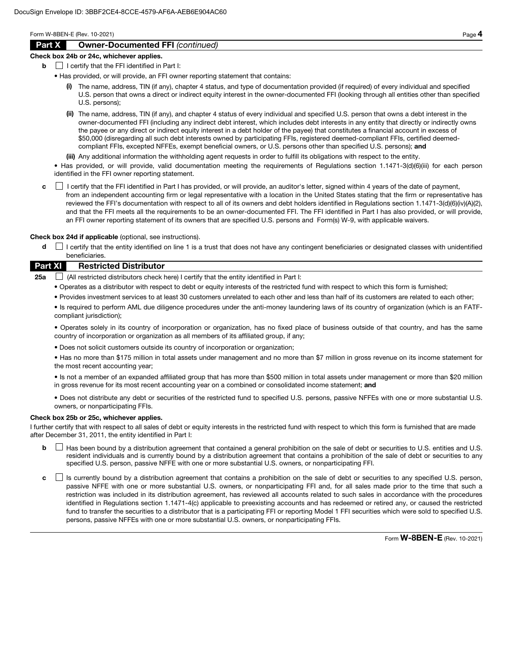# Part X Owner-Documented FFI *(continued)*

#### Check box 24b or 24c, whichever applies.

- $\mathbf{b}$  | I certify that the FFI identified in Part I:
	- Has provided, or will provide, an FFI owner reporting statement that contains:
		- (i) The name, address, TIN (if any), chapter 4 status, and type of documentation provided (if required) of every individual and specified U.S. person that owns a direct or indirect equity interest in the owner-documented FFI (looking through all entities other than specified U.S. persons);
		- (ii) The name, address, TIN (if any), and chapter 4 status of every individual and specified U.S. person that owns a debt interest in the owner-documented FFI (including any indirect debt interest, which includes debt interests in any entity that directly or indirectly owns the payee or any direct or indirect equity interest in a debt holder of the payee) that constitutes a financial account in excess of \$50,000 (disregarding all such debt interests owned by participating FFIs, registered deemed-compliant FFIs, certified deemedcompliant FFIs, excepted NFFEs, exempt beneficial owners, or U.S. persons other than specified U.S. persons); and
		- (iii) Any additional information the withholding agent requests in order to fulfill its obligations with respect to the entity.

• Has provided, or will provide, valid documentation meeting the requirements of Regulations section 1.1471-3(d)(6)(iii) for each person identified in the FFI owner reporting statement.

c **I** certify that the FFI identified in Part I has provided, or will provide, an auditor's letter, signed within 4 years of the date of payment, from an independent accounting firm or legal representative with a location in the United States stating that the firm or representative has reviewed the FFI's documentation with respect to all of its owners and debt holders identified in Regulations section 1.1471-3(d)(6)(iv)(A)(2), and that the FFI meets all the requirements to be an owner-documented FFI. The FFI identified in Part I has also provided, or will provide, an FFI owner reporting statement of its owners that are specified U.S. persons and Form(s) W-9, with applicable waivers.

Check box 24d if applicable (optional, see instructions).

d  $\Box$  I certify that the entity identified on line 1 is a trust that does not have any contingent beneficiaries or designated classes with unidentified beneficiaries.

## Part XI Restricted Distributor

**25a**  $\Box$  (All restricted distributors check here) I certify that the entity identified in Part I:

- Operates as a distributor with respect to debt or equity interests of the restricted fund with respect to which this form is furnished;
- Provides investment services to at least 30 customers unrelated to each other and less than half of its customers are related to each other;

• Is required to perform AML due diligence procedures under the anti-money laundering laws of its country of organization (which is an FATFcompliant jurisdiction);

• Operates solely in its country of incorporation or organization, has no fixed place of business outside of that country, and has the same country of incorporation or organization as all members of its affiliated group, if any;

• Does not solicit customers outside its country of incorporation or organization;

• Has no more than \$175 million in total assets under management and no more than \$7 million in gross revenue on its income statement for the most recent accounting year;

• Is not a member of an expanded affiliated group that has more than \$500 million in total assets under management or more than \$20 million in gross revenue for its most recent accounting year on a combined or consolidated income statement; and

• Does not distribute any debt or securities of the restricted fund to specified U.S. persons, passive NFFEs with one or more substantial U.S. owners, or nonparticipating FFIs.

## Check box 25b or 25c, whichever applies.

I further certify that with respect to all sales of debt or equity interests in the restricted fund with respect to which this form is furnished that are made after December 31, 2011, the entity identified in Part I:

- **b**  $\Box$  Has been bound by a distribution agreement that contained a general prohibition on the sale of debt or securities to U.S. entities and U.S. resident individuals and is currently bound by a distribution agreement that contains a prohibition of the sale of debt or securities to any specified U.S. person, passive NFFE with one or more substantial U.S. owners, or nonparticipating FFI.
- c  $\Box$  Is currently bound by a distribution agreement that contains a prohibition on the sale of debt or securities to any specified U.S. person, passive NFFE with one or more substantial U.S. owners, or nonparticipating FFI and, for all sales made prior to the time that such a restriction was included in its distribution agreement, has reviewed all accounts related to such sales in accordance with the procedures identified in Regulations section 1.1471-4(c) applicable to preexisting accounts and has redeemed or retired any, or caused the restricted fund to transfer the securities to a distributor that is a participating FFI or reporting Model 1 FFI securities which were sold to specified U.S. persons, passive NFFEs with one or more substantial U.S. owners, or nonparticipating FFIs.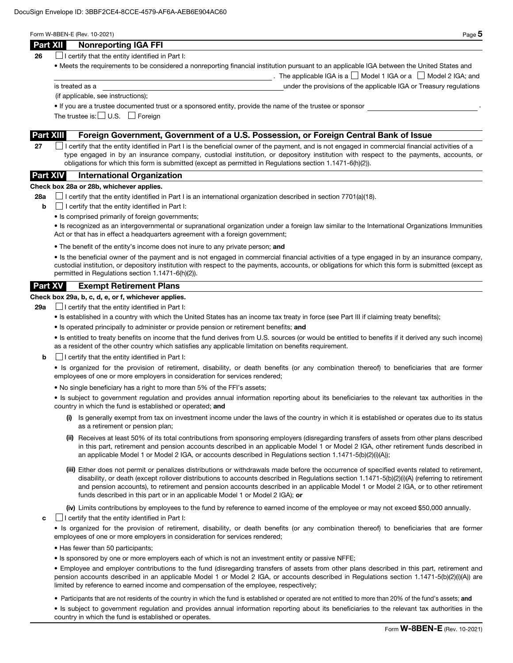|  | × |
|--|---|
|--|---|

The applicable IGA is a  $\Box$  Model 1 IGA or a  $\Box$  Model 2 IGA; and

**26**  $\Box$  I certify that the entity identified in Part I:

• Meets the requirements to be considered a nonreporting financial institution pursuant to an applicable IGA between the United States and

is treated as a under the provisions of the applicable IGA or Treasury regulations

(if applicable, see instructions);

• If you are a trustee documented trust or a sponsored entity, provide the name of the trustee or sponsor .

The trustee is:  $\Box$  U.S.  $\Box$  Foreign

## Part XIII Foreign Government, Government of a U.S. Possession, or Foreign Central Bank of Issue

27 **I** certify that the entity identified in Part I is the beneficial owner of the payment, and is not engaged in commercial financial activities of a type engaged in by an insurance company, custodial institution, or depository institution with respect to the payments, accounts, or obligations for which this form is submitted (except as permitted in Regulations section 1.1471-6(h)(2)).

# Part XIV International Organization

#### Check box 28a or 28b, whichever applies.

28a  $\Box$  I certify that the entity identified in Part I is an international organization described in section 7701(a)(18).

- $\mathbf{b}$   $\Box$  I certify that the entity identified in Part I:
	- Is comprised primarily of foreign governments;

• Is recognized as an intergovernmental or supranational organization under a foreign law similar to the International Organizations Immunities Act or that has in effect a headquarters agreement with a foreign government;

• The benefit of the entity's income does not inure to any private person; and

• Is the beneficial owner of the payment and is not engaged in commercial financial activities of a type engaged in by an insurance company, custodial institution, or depository institution with respect to the payments, accounts, or obligations for which this form is submitted (except as permitted in Regulations section 1.1471-6(h)(2)).

# Part XV Exempt Retirement Plans

## Check box 29a, b, c, d, e, or f, whichever applies.

**29a**  $\Box$  I certify that the entity identified in Part I:

- Is established in a country with which the United States has an income tax treaty in force (see Part III if claiming treaty benefits);
- Is operated principally to administer or provide pension or retirement benefits; and

• Is entitled to treaty benefits on income that the fund derives from U.S. sources (or would be entitled to benefits if it derived any such income) as a resident of the other country which satisfies any applicable limitation on benefits requirement.

 $\mathbf{b}$   $\Box$  I certify that the entity identified in Part I:

• Is organized for the provision of retirement, disability, or death benefits (or any combination thereof) to beneficiaries that are former employees of one or more employers in consideration for services rendered;

• No single beneficiary has a right to more than 5% of the FFI's assets;

• Is subject to government regulation and provides annual information reporting about its beneficiaries to the relevant tax authorities in the country in which the fund is established or operated; and

- (i) Is generally exempt from tax on investment income under the laws of the country in which it is established or operates due to its status as a retirement or pension plan;
- (ii) Receives at least 50% of its total contributions from sponsoring employers (disregarding transfers of assets from other plans described in this part, retirement and pension accounts described in an applicable Model 1 or Model 2 IGA, other retirement funds described in an applicable Model 1 or Model 2 IGA, or accounts described in Regulations section 1.1471-5(b)(2)(i)(A));
- (iii) Either does not permit or penalizes distributions or withdrawals made before the occurrence of specified events related to retirement, disability, or death (except rollover distributions to accounts described in Regulations section 1.1471-5(b)(2)(i)(A) (referring to retirement and pension accounts), to retirement and pension accounts described in an applicable Model 1 or Model 2 IGA, or to other retirement funds described in this part or in an applicable Model 1 or Model 2 IGA); or

(iv) Limits contributions by employees to the fund by reference to earned income of the employee or may not exceed \$50,000 annually.

 $\mathbf{c}$   $\Box$  I certify that the entity identified in Part I:

• Is organized for the provision of retirement, disability, or death benefits (or any combination thereof) to beneficiaries that are former employees of one or more employers in consideration for services rendered;

- Has fewer than 50 participants;
- Is sponsored by one or more employers each of which is not an investment entity or passive NFFE;

• Employee and employer contributions to the fund (disregarding transfers of assets from other plans described in this part, retirement and pension accounts described in an applicable Model 1 or Model 2 IGA, or accounts described in Regulations section 1.1471-5(b)(2)(i)(A)) are limited by reference to earned income and compensation of the employee, respectively;

• Participants that are not residents of the country in which the fund is established or operated are not entitled to more than 20% of the fund's assets; and

• Is subject to government regulation and provides annual information reporting about its beneficiaries to the relevant tax authorities in the country in which the fund is established or operates.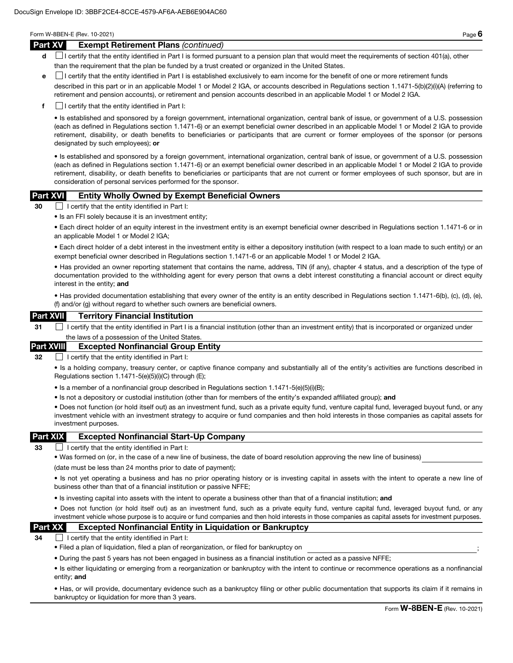#### Part XV Exempt Retirement Plans *(continued)*

- d **I** certify that the entity identified in Part I is formed pursuant to a pension plan that would meet the requirements of section 401(a), other than the requirement that the plan be funded by a trust created or organized in the United States.
- e I certify that the entity identified in Part I is established exclusively to earn income for the benefit of one or more retirement funds

described in this part or in an applicable Model 1 or Model 2 IGA, or accounts described in Regulations section 1.1471-5(b)(2)(i)(A) (referring to retirement and pension accounts), or retirement and pension accounts described in an applicable Model 1 or Model 2 IGA.

 $\mathbf{f}$  I certify that the entity identified in Part I:

• Is established and sponsored by a foreign government, international organization, central bank of issue, or government of a U.S. possession (each as defined in Regulations section 1.1471-6) or an exempt beneficial owner described in an applicable Model 1 or Model 2 IGA to provide retirement, disability, or death benefits to beneficiaries or participants that are current or former employees of the sponsor (or persons designated by such employees); or

• Is established and sponsored by a foreign government, international organization, central bank of issue, or government of a U.S. possession (each as defined in Regulations section 1.1471-6) or an exempt beneficial owner described in an applicable Model 1 or Model 2 IGA to provide retirement, disability, or death benefits to beneficiaries or participants that are not current or former employees of such sponsor, but are in consideration of personal services performed for the sponsor.

## Part XVI Entity Wholly Owned by Exempt Beneficial Owners

30 I certify that the entity identified in Part I:

• Is an FFI solely because it is an investment entity;

• Each direct holder of an equity interest in the investment entity is an exempt beneficial owner described in Regulations section 1.1471-6 or in an applicable Model 1 or Model 2 IGA;

• Each direct holder of a debt interest in the investment entity is either a depository institution (with respect to a loan made to such entity) or an exempt beneficial owner described in Regulations section 1.1471-6 or an applicable Model 1 or Model 2 IGA.

• Has provided an owner reporting statement that contains the name, address, TIN (if any), chapter 4 status, and a description of the type of documentation provided to the withholding agent for every person that owns a debt interest constituting a financial account or direct equity interest in the entity; and

• Has provided documentation establishing that every owner of the entity is an entity described in Regulations section 1.1471-6(b), (c), (d), (e), (f) and/or (g) without regard to whether such owners are beneficial owners.

## Part XVII Territory Financial Institution

31 I certify that the entity identified in Part I is a financial institution (other than an investment entity) that is incorporated or organized under the laws of a possession of the United States

## Part XVIII Excepted Nonfinancial Group Entity

32 **I certify that the entity identified in Part I:** 

• Is a holding company, treasury center, or captive finance company and substantially all of the entity's activities are functions described in Regulations section 1.1471-5(e)(5)(i)(C) through (E);

- Is a member of a nonfinancial group described in Regulations section 1.1471-5(e)(5)(i)(B);
- Is not a depository or custodial institution (other than for members of the entity's expanded affiliated group); and

• Does not function (or hold itself out) as an investment fund, such as a private equity fund, venture capital fund, leveraged buyout fund, or any investment vehicle with an investment strategy to acquire or fund companies and then hold interests in those companies as capital assets for investment purposes.

## Part XIX Excepted Nonfinancial Start-Up Company

33  $\Box$  I certify that the entity identified in Part I:

• Was formed on (or, in the case of a new line of business, the date of board resolution approving the new line of business)

(date must be less than 24 months prior to date of payment);

• Is not yet operating a business and has no prior operating history or is investing capital in assets with the intent to operate a new line of business other than that of a financial institution or passive NFFE;

• Is investing capital into assets with the intent to operate a business other than that of a financial institution; and

• Does not function (or hold itself out) as an investment fund, such as a private equity fund, venture capital fund, leveraged buyout fund, or any investment vehicle whose purpose is to acquire or fund companies and then hold interests in those companies as capital assets for investment purposes.

# Part XX Excepted Nonfinancial Entity in Liquidation or Bankruptcy

 $34$   $\Box$  I certify that the entity identified in Part I:

• Filed a plan of liquidation, filed a plan of reorganization, or filed for bankruptcy on ;

• During the past 5 years has not been engaged in business as a financial institution or acted as a passive NFFE;

• Is either liquidating or emerging from a reorganization or bankruptcy with the intent to continue or recommence operations as a nonfinancial entity; and

• Has, or will provide, documentary evidence such as a bankruptcy filing or other public documentation that supports its claim if it remains in bankruptcy or liquidation for more than 3 years.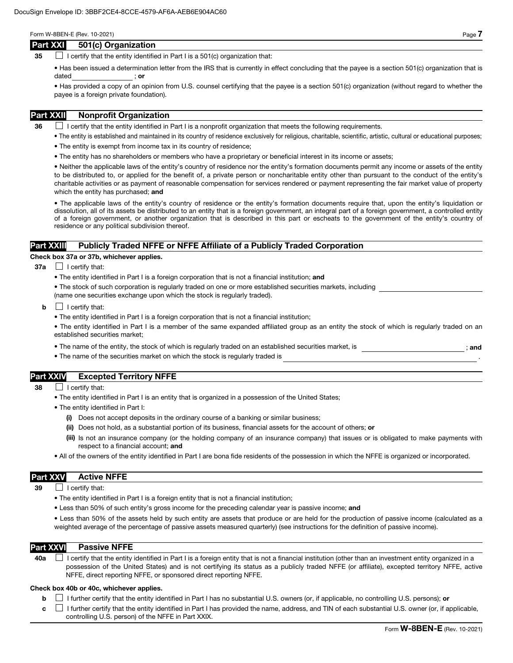## Part XXI 501(c) Organization

35  $\Box$  I certify that the entity identified in Part I is a 501(c) organization that:

• Has been issued a determination letter from the IRS that is currently in effect concluding that the payee is a section 501(c) organization that is dated ; or

• Has provided a copy of an opinion from U.S. counsel certifying that the payee is a section 501(c) organization (without regard to whether the payee is a foreign private foundation).

# Part XXII Nonprofit Organization

 $36$  I certify that the entity identified in Part I is a nonprofit organization that meets the following requirements.

- The entity is established and maintained in its country of residence exclusively for religious, charitable, scientific, artistic, cultural or educational purposes;
- The entity is exempt from income tax in its country of residence;
- The entity has no shareholders or members who have a proprietary or beneficial interest in its income or assets;

• Neither the applicable laws of the entity's country of residence nor the entity's formation documents permit any income or assets of the entity to be distributed to, or applied for the benefit of, a private person or noncharitable entity other than pursuant to the conduct of the entity's charitable activities or as payment of reasonable compensation for services rendered or payment representing the fair market value of property which the entity has purchased; and

• The applicable laws of the entity's country of residence or the entity's formation documents require that, upon the entity's liquidation or dissolution, all of its assets be distributed to an entity that is a foreign government, an integral part of a foreign government, a controlled entity of a foreign government, or another organization that is described in this part or escheats to the government of the entity's country of residence or any political subdivision thereof.

## Part XXIII Publicly Traded NFFE or NFFE Affiliate of a Publicly Traded Corporation

#### Check box 37a or 37b, whichever applies.

- $37a$  | certify that:
	- The entity identified in Part I is a foreign corporation that is not a financial institution; and
	- The stock of such corporation is regularly traded on one or more established securities markets, including (name one securities exchange upon which the stock is regularly traded).
	- $\mathbf{b}$   $\Box$  I certify that:
		- The entity identified in Part I is a foreign corporation that is not a financial institution;
		- The entity identified in Part I is a member of the same expanded affiliated group as an entity the stock of which is regularly traded on an established securities market;
		- The name of the entity, the stock of which is regularly traded on an established securities market, is  $\cdot$  ; and
		- The name of the securities market on which the stock is regularly traded is

# Part XXIV Excepted Territory NFFE

- 38 **I** certify that:
	- The entity identified in Part I is an entity that is organized in a possession of the United States;
	- The entity identified in Part I:
		- (i) Does not accept deposits in the ordinary course of a banking or similar business;
		- (ii) Does not hold, as a substantial portion of its business, financial assets for the account of others; or
		- (iii) Is not an insurance company (or the holding company of an insurance company) that issues or is obligated to make payments with respect to a financial account; and
	- All of the owners of the entity identified in Part I are bona fide residents of the possession in which the NFFE is organized or incorporated.

## Part XXV Active NFFE

 $39$  | I certify that:

- The entity identified in Part I is a foreign entity that is not a financial institution;
- Less than 50% of such entity's gross income for the preceding calendar year is passive income; and

• Less than 50% of the assets held by such entity are assets that produce or are held for the production of passive income (calculated as a weighted average of the percentage of passive assets measured quarterly) (see instructions for the definition of passive income).

#### Part XXVI Passive NFFE

40a  $\Box$  I certify that the entity identified in Part I is a foreign entity that is not a financial institution (other than an investment entity organized in a possession of the United States) and is not certifying its status as a publicly traded NFFE (or affiliate), excepted territory NFFE, active NFFE, direct reporting NFFE, or sponsored direct reporting NFFE.

#### Check box 40b or 40c, whichever applies.

**b**  $\Box$  I further certify that the entity identified in Part I has no substantial U.S. owners (or, if applicable, no controlling U.S. persons); or

 $c \perp$  I further certify that the entity identified in Part I has provided the name, address, and TIN of each substantial U.S. owner (or, if applicable, controlling U.S. person) of the NFFE in Part XXIX.